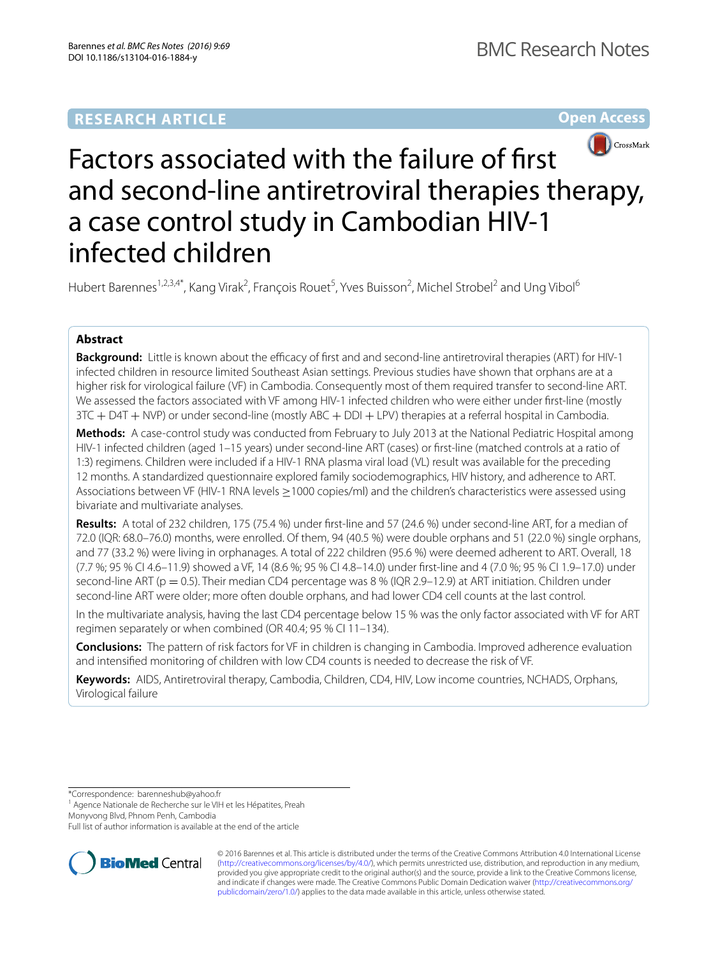# **RESEARCH ARTICLE**

**Open Access**



# Factors associated with the failure of first and second-line antiretroviral therapies therapy, a case control study in Cambodian HIV-1 infected children

Hubert Barennes<sup>1,2,3,4\*</sup>, Kang Virak<sup>2</sup>, François Rouet<sup>5</sup>, Yves Buisson<sup>2</sup>, Michel Strobel<sup>2</sup> and Ung Vibol<sup>6</sup>

### **Abstract**

**Background:** Little is known about the efficacy of first and and second-line antiretroviral therapies (ART) for HIV-1 infected children in resource limited Southeast Asian settings. Previous studies have shown that orphans are at a higher risk for virological failure (VF) in Cambodia. Consequently most of them required transfer to second-line ART. We assessed the factors associated with VF among HIV-1 infected children who were either under first-line (mostly 3TC + D4T + NVP) or under second-line (mostly ABC + DDI + LPV) therapies at a referral hospital in Cambodia.

**Methods:** A case-control study was conducted from February to July 2013 at the National Pediatric Hospital among HIV-1 infected children (aged 1–15 years) under second-line ART (cases) or first-line (matched controls at a ratio of 1:3) regimens. Children were included if a HIV-1 RNA plasma viral load (VL) result was available for the preceding 12 months. A standardized questionnaire explored family sociodemographics, HIV history, and adherence to ART. Associations between VF (HIV-1 RNA levels ≥1000 copies/ml) and the children's characteristics were assessed using bivariate and multivariate analyses.

**Results:** A total of 232 children, 175 (75.4 %) under first-line and 57 (24.6 %) under second-line ART, for a median of 72.0 (IQR: 68.0–76.0) months, were enrolled. Of them, 94 (40.5 %) were double orphans and 51 (22.0 %) single orphans, and 77 (33.2 %) were living in orphanages. A total of 222 children (95.6 %) were deemed adherent to ART. Overall, 18 (7.7 %; 95 % CI 4.6–11.9) showed a VF, 14 (8.6 %; 95 % CI 4.8–14.0) under first-line and 4 (7.0 %; 95 % CI 1.9–17.0) under second-line ART (p = 0.5). Their median CD4 percentage was 8 % (IQR 2.9–12.9) at ART initiation. Children under second-line ART were older; more often double orphans, and had lower CD4 cell counts at the last control.

In the multivariate analysis, having the last CD4 percentage below 15 % was the only factor associated with VF for ART regimen separately or when combined (OR 40.4; 95 % CI 11–134).

**Conclusions:** The pattern of risk factors for VF in children is changing in Cambodia. Improved adherence evaluation and intensified monitoring of children with low CD4 counts is needed to decrease the risk of VF.

**Keywords:** AIDS, Antiretroviral therapy, Cambodia, Children, CD4, HIV, Low income countries, NCHADS, Orphans, Virological failure

\*Correspondence: barenneshub@yahoo.fr

<sup>1</sup> Agence Nationale de Recherche sur le VIH et les Hépatites, Preah

Monyvong Blvd, Phnom Penh, Cambodia

Full list of author information is available at the end of the article



© 2016 Barennes et al. This article is distributed under the terms of the Creative Commons Attribution 4.0 International License [\(http://creativecommons.org/licenses/by/4.0/\)](http://creativecommons.org/licenses/by/4.0/), which permits unrestricted use, distribution, and reproduction in any medium, provided you give appropriate credit to the original author(s) and the source, provide a link to the Creative Commons license, and indicate if changes were made. The Creative Commons Public Domain Dedication waiver ([http://creativecommons.org/](http://creativecommons.org/publicdomain/zero/1.0/) [publicdomain/zero/1.0/](http://creativecommons.org/publicdomain/zero/1.0/)) applies to the data made available in this article, unless otherwise stated.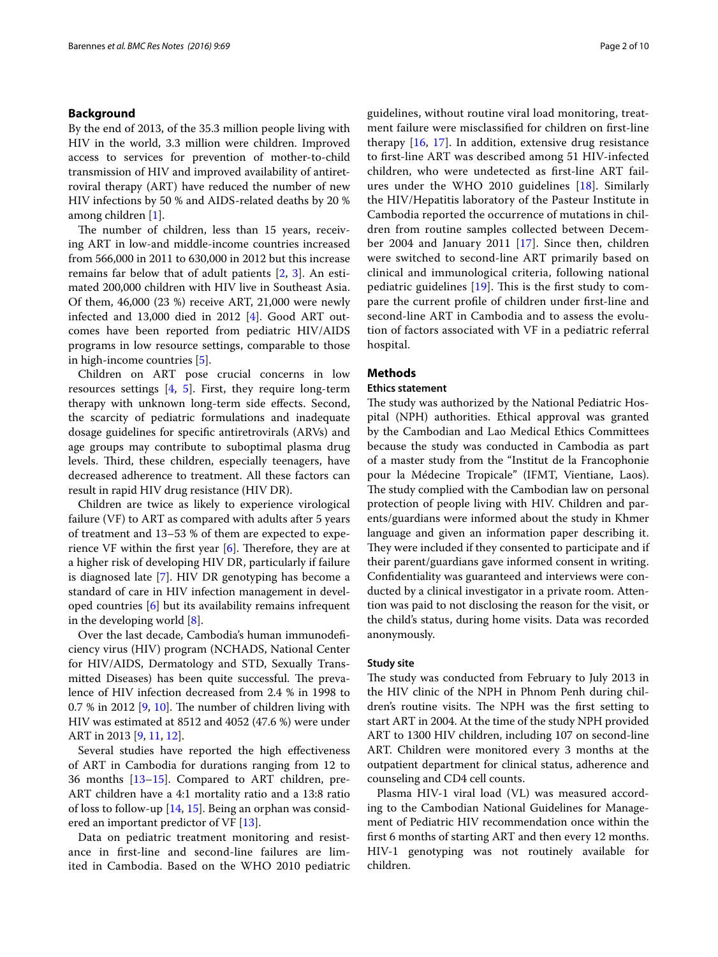#### **Background**

By the end of 2013, of the 35.3 million people living with HIV in the world, 3.3 million were children. Improved access to services for prevention of mother-to-child transmission of HIV and improved availability of antiretroviral therapy (ART) have reduced the number of new HIV infections by 50 % and AIDS-related deaths by 20 % among children [\[1](#page-8-0)].

The number of children, less than 15 years, receiving ART in low-and middle-income countries increased from 566,000 in 2011 to 630,000 in 2012 but this increase remains far below that of adult patients [[2,](#page-8-1) [3\]](#page-8-2). An estimated 200,000 children with HIV live in Southeast Asia. Of them, 46,000 (23 %) receive ART, 21,000 were newly infected and 13,000 died in 2012 [\[4](#page-8-3)]. Good ART outcomes have been reported from pediatric HIV/AIDS programs in low resource settings, comparable to those in high-income countries [\[5](#page-8-4)].

Children on ART pose crucial concerns in low resources settings [[4,](#page-8-3) [5\]](#page-8-4). First, they require long-term therapy with unknown long-term side effects. Second, the scarcity of pediatric formulations and inadequate dosage guidelines for specific antiretrovirals (ARVs) and age groups may contribute to suboptimal plasma drug levels. Third, these children, especially teenagers, have decreased adherence to treatment. All these factors can result in rapid HIV drug resistance (HIV DR).

Children are twice as likely to experience virological failure (VF) to ART as compared with adults after 5 years of treatment and 13–53 % of them are expected to experience VF within the first year [\[6](#page-8-5)]. Therefore, they are at a higher risk of developing HIV DR, particularly if failure is diagnosed late [[7\]](#page-8-6). HIV DR genotyping has become a standard of care in HIV infection management in developed countries [\[6](#page-8-5)] but its availability remains infrequent in the developing world [\[8](#page-8-7)].

Over the last decade, Cambodia's human immunodeficiency virus (HIV) program (NCHADS, National Center for HIV/AIDS, Dermatology and STD, Sexually Transmitted Diseases) has been quite successful. The prevalence of HIV infection decreased from 2.4 % in 1998 to 0.7 % in 2012 [[9,](#page-8-8) [10\]](#page-8-9). The number of children living with HIV was estimated at 8512 and 4052 (47.6 %) were under ART in 2013 [[9,](#page-8-8) [11](#page-8-10), [12\]](#page-8-11).

Several studies have reported the high effectiveness of ART in Cambodia for durations ranging from 12 to 36 months [[13](#page-8-12)[–15](#page-8-13)]. Compared to ART children, pre-ART children have a 4:1 mortality ratio and a 13:8 ratio of loss to follow-up [[14,](#page-8-14) [15\]](#page-8-13). Being an orphan was considered an important predictor of VF [\[13](#page-8-12)].

Data on pediatric treatment monitoring and resistance in first-line and second-line failures are limited in Cambodia. Based on the WHO 2010 pediatric guidelines, without routine viral load monitoring, treatment failure were misclassified for children on first-line therapy [\[16](#page-8-15), [17](#page-8-16)]. In addition, extensive drug resistance to first-line ART was described among 51 HIV-infected children, who were undetected as first-line ART failures under the WHO 2010 guidelines [[18](#page-8-17)]. Similarly the HIV/Hepatitis laboratory of the Pasteur Institute in Cambodia reported the occurrence of mutations in children from routine samples collected between December 2004 and January 2011 [\[17\]](#page-8-16). Since then, children were switched to second-line ART primarily based on clinical and immunological criteria, following national pediatric guidelines [[19](#page-8-18)]. This is the first study to compare the current profile of children under first-line and second-line ART in Cambodia and to assess the evolution of factors associated with VF in a pediatric referral hospital.

#### **Methods**

#### **Ethics statement**

The study was authorized by the National Pediatric Hospital (NPH) authorities. Ethical approval was granted by the Cambodian and Lao Medical Ethics Committees because the study was conducted in Cambodia as part of a master study from the "Institut de la Francophonie pour la Médecine Tropicale" (IFMT, Vientiane, Laos). The study complied with the Cambodian law on personal protection of people living with HIV. Children and parents/guardians were informed about the study in Khmer language and given an information paper describing it. They were included if they consented to participate and if their parent/guardians gave informed consent in writing. Confidentiality was guaranteed and interviews were conducted by a clinical investigator in a private room. Attention was paid to not disclosing the reason for the visit, or the child's status, during home visits. Data was recorded anonymously.

#### **Study site**

The study was conducted from February to July 2013 in the HIV clinic of the NPH in Phnom Penh during children's routine visits. The NPH was the first setting to start ART in 2004. At the time of the study NPH provided ART to 1300 HIV children, including 107 on second-line ART. Children were monitored every 3 months at the outpatient department for clinical status, adherence and counseling and CD4 cell counts.

Plasma HIV-1 viral load (VL) was measured according to the Cambodian National Guidelines for Management of Pediatric HIV recommendation once within the first 6 months of starting ART and then every 12 months. HIV-1 genotyping was not routinely available for children.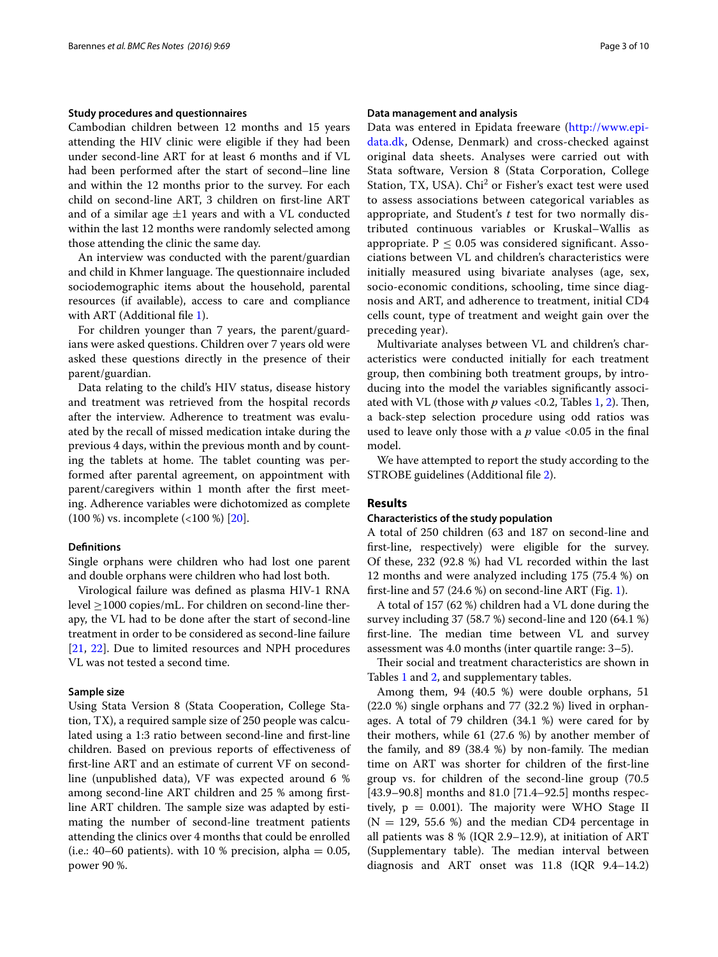#### **Study procedures and questionnaires**

Cambodian children between 12 months and 15 years attending the HIV clinic were eligible if they had been under second-line ART for at least 6 months and if VL had been performed after the start of second–line line and within the 12 months prior to the survey. For each child on second-line ART, 3 children on first-line ART and of a similar age  $\pm 1$  years and with a VL conducted within the last 12 months were randomly selected among those attending the clinic the same day.

An interview was conducted with the parent/guardian and child in Khmer language. The questionnaire included sociodemographic items about the household, parental resources (if available), access to care and compliance with ART (Additional file [1\)](#page-7-0).

For children younger than 7 years, the parent/guardians were asked questions. Children over 7 years old were asked these questions directly in the presence of their parent/guardian.

Data relating to the child's HIV status, disease history and treatment was retrieved from the hospital records after the interview. Adherence to treatment was evaluated by the recall of missed medication intake during the previous 4 days, within the previous month and by counting the tablets at home. The tablet counting was performed after parental agreement, on appointment with parent/caregivers within 1 month after the first meeting. Adherence variables were dichotomized as complete (100 %) vs. incomplete (<100 %) [[20](#page-8-19)].

#### **Definitions**

Single orphans were children who had lost one parent and double orphans were children who had lost both.

Virological failure was defined as plasma HIV-1 RNA level ≥1000 copies/mL. For children on second-line therapy, the VL had to be done after the start of second-line treatment in order to be considered as second-line failure [[21,](#page-8-20) [22](#page-8-21)]. Due to limited resources and NPH procedures VL was not tested a second time.

#### **Sample size**

Using Stata Version 8 (Stata Cooperation, College Station, TX), a required sample size of 250 people was calculated using a 1:3 ratio between second-line and first-line children. Based on previous reports of effectiveness of first-line ART and an estimate of current VF on secondline (unpublished data), VF was expected around 6 % among second-line ART children and 25 % among firstline ART children. The sample size was adapted by estimating the number of second-line treatment patients attending the clinics over 4 months that could be enrolled (i.e.: 40–60 patients). with 10 % precision, alpha  $= 0.05$ , power 90 %.

#### **Data management and analysis**

Data was entered in Epidata freeware ([http://www.epi](http://www.epidata.dk)[data.dk,](http://www.epidata.dk) Odense, Denmark) and cross-checked against original data sheets. Analyses were carried out with Stata software, Version 8 (Stata Corporation, College Station, TX, USA). Chi<sup>2</sup> or Fisher's exact test were used to assess associations between categorical variables as appropriate, and Student's *t* test for two normally distributed continuous variables or Kruskal–Wallis as appropriate.  $P < 0.05$  was considered significant. Associations between VL and children's characteristics were initially measured using bivariate analyses (age, sex, socio-economic conditions, schooling, time since diagnosis and ART, and adherence to treatment, initial CD4 cells count, type of treatment and weight gain over the preceding year).

Multivariate analyses between VL and children's characteristics were conducted initially for each treatment group, then combining both treatment groups, by introducing into the model the variables significantly associated with VL (those with *p* values <0.2, Tables [1](#page-3-0), [2\)](#page-4-0). Then, a back-step selection procedure using odd ratios was used to leave only those with a *p* value <0.05 in the final model.

We have attempted to report the study according to the STROBE guidelines (Additional file [2](#page-7-1)).

#### **Results**

#### **Characteristics of the study population**

A total of 250 children (63 and 187 on second-line and first-line, respectively) were eligible for the survey. Of these, 232 (92.8 %) had VL recorded within the last 12 months and were analyzed including 175 (75.4 %) on first-line and 57 (24.6 %) on second-line ART (Fig. [1\)](#page-4-1).

A total of 157 (62 %) children had a VL done during the survey including 37 (58.7 %) second-line and 120 (64.1 %) first-line. The median time between VL and survey assessment was 4.0 months (inter quartile range: 3–5).

Their social and treatment characteristics are shown in Tables [1](#page-3-0) and [2,](#page-4-0) and supplementary tables.

Among them, 94 (40.5 %) were double orphans, 51 (22.0 %) single orphans and 77 (32.2 %) lived in orphanages. A total of 79 children (34.1 %) were cared for by their mothers, while 61 (27.6 %) by another member of the family, and 89 (38.4 %) by non-family. The median time on ART was shorter for children of the first-line group vs. for children of the second-line group (70.5 [43.9–90.8] months and 81.0 [71.4–92.5] months respectively,  $p = 0.001$ ). The majority were WHO Stage II  $(N = 129, 55.6 \%)$  and the median CD4 percentage in all patients was 8 % (IQR 2.9–12.9), at initiation of ART (Supplementary table). The median interval between diagnosis and ART onset was 11.8 (IQR 9.4–14.2)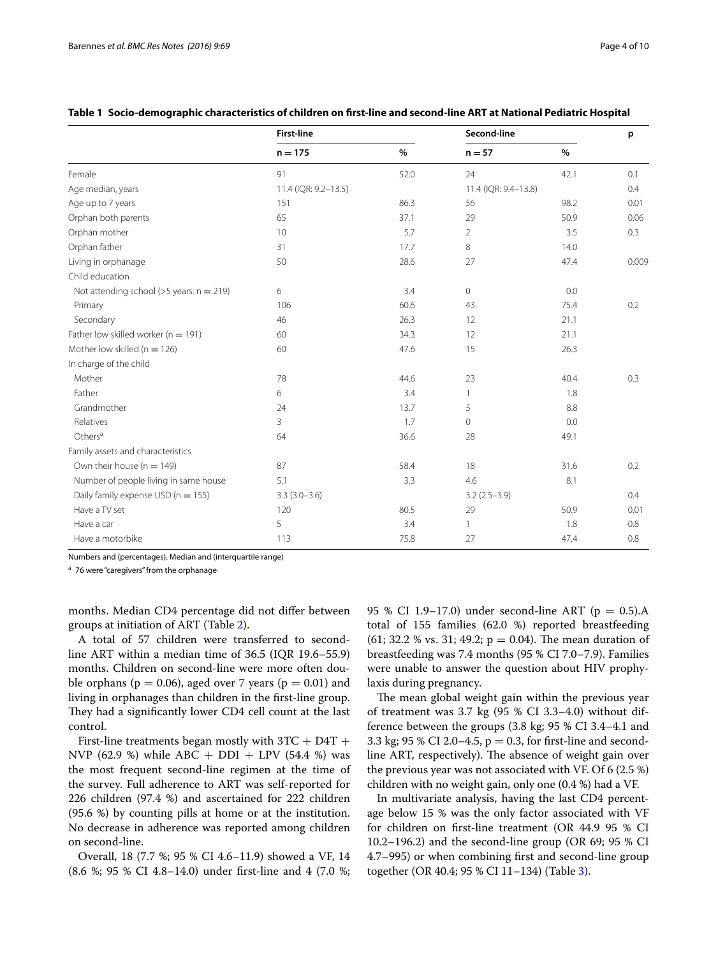|                                             | <b>First-line</b>    |      | Second-line          |      | p     |
|---------------------------------------------|----------------------|------|----------------------|------|-------|
|                                             | $n = 175$            | $\%$ | $n = 57$             | $\%$ |       |
| Female                                      | 91                   | 52.0 | 24                   | 42.1 | 0.1   |
| Age median, years                           | 11.4 (IQR: 9.2-13.5) |      | 11.4 (IQR: 9.4-13.8) |      | 0.4   |
| Age up to 7 years                           | 151                  | 86.3 | 56                   | 98.2 | 0.01  |
| Orphan both parents                         | 65                   | 37.1 | 29                   | 50.9 | 0.06  |
| Orphan mother                               | 10                   | 5.7  | $\overline{2}$       | 3.5  | 0.3   |
| Orphan father                               | 31                   | 17.7 | 8                    | 14.0 |       |
| Living in orphanage                         | 50                   | 28.6 | 27                   | 47.4 | 0.009 |
| Child education                             |                      |      |                      |      |       |
| Not attending school ( $>5$ years. n = 219) | 6                    | 3.4  | $\mathbf{0}$         | 0.0  |       |
| Primary                                     | 106                  | 60.6 | 43                   | 75.4 | 0.2   |
| Secondary                                   | 46                   | 26.3 | 12                   | 21.1 |       |
| Father low skilled worker ( $n = 191$ )     | 60                   | 34.3 | 12                   | 21.1 |       |
| Mother low skilled ( $n = 126$ )            | 60                   | 47.6 | 15                   | 26.3 |       |
| In charge of the child                      |                      |      |                      |      |       |
| Mother                                      | 78                   | 44.6 | 23                   | 40.4 | 0.3   |
| Father                                      | 6                    | 3.4  | -1                   | 1.8  |       |
| Grandmother                                 | 24                   | 13.7 | 5                    | 8.8  |       |
| Relatives                                   | 3                    | 1.7  | $\mathbf{0}$         | 0.0  |       |
| Others <sup>a</sup>                         | 64                   | 36.6 | 28                   | 49.1 |       |
| Family assets and characteristics           |                      |      |                      |      |       |
| Own their house ( $n = 149$ )               | 87                   | 58.4 | 18                   | 31.6 | 0.2   |
| Number of people living in same house       | 5.1                  | 3.3  | 4.6                  | 8.1  |       |
| Daily family expense USD ( $n = 155$ )      | $3.3(3.0 - 3.6)$     |      | $3.2(2.5-3.9)$       |      | 0.4   |
| Have a TV set                               | 120                  | 80.5 | 29                   | 50.9 | 0.01  |
| Have a car                                  | 5                    | 3.4  | 1                    | 1.8  | 0.8   |
| Have a motorbike                            | 113                  | 75.8 | 27                   | 47.4 | 0.8   |

#### <span id="page-3-0"></span>**Table 1 Socio-demographic characteristics of children on first-line and second-line ART at National Pediatric Hospital**

Numbers and (percentages). Median and (interquartile range)

<sup>a</sup> 76 were "caregivers" from the orphanage

months. Median CD4 percentage did not differ between groups at initiation of ART (Table [2\)](#page-4-0).

A total of 57 children were transferred to secondline ART within a median time of 36.5 (IQR 19.6–55.9) months. Children on second-line were more often double orphans ( $p = 0.06$ ), aged over 7 years ( $p = 0.01$ ) and living in orphanages than children in the first-line group. They had a significantly lower CD4 cell count at the last control.

First-line treatments began mostly with  $3TC + D4T +$ NVP (62.9 %) while ABC +  $DDI$  +  $LPV$  (54.4 %) was the most frequent second-line regimen at the time of the survey. Full adherence to ART was self-reported for 226 children (97.4 %) and ascertained for 222 children (95.6 %) by counting pills at home or at the institution. No decrease in adherence was reported among children on second-line.

Overall, 18 (7.7 %; 95 % CI 4.6–11.9) showed a VF, 14 (8.6 %; 95 % CI 4.8–14.0) under first-line and 4 (7.0 %; 95 % CI 1.9–17.0) under second-line ART ( $p = 0.5$ ).A total of 155 families (62.0 %) reported breastfeeding  $(61; 32.2 \text{ % vs. } 31; 49.2; p = 0.04)$ . The mean duration of breastfeeding was 7.4 months (95 % CI 7.0–7.9). Families were unable to answer the question about HIV prophylaxis during pregnancy.

The mean global weight gain within the previous year of treatment was 3.7 kg (95 % CI 3.3–4.0) without difference between the groups (3.8 kg; 95 % CI 3.4–4.1 and 3.3 kg; 95 % CI 2.0–4.5,  $p = 0.3$ , for first-line and secondline ART, respectively). The absence of weight gain over the previous year was not associated with VF. Of 6 (2.5 %) children with no weight gain, only one (0.4 %) had a VF.

In multivariate analysis, having the last CD4 percentage below 15 % was the only factor associated with VF for children on first-line treatment (OR 44.9 95 % CI 10.2–196.2) and the second-line group (OR 69; 95 % CI 4.7–995) or when combining first and second-line group together (OR 40.4; 95 % CI 11–134) (Table [3\)](#page-5-0).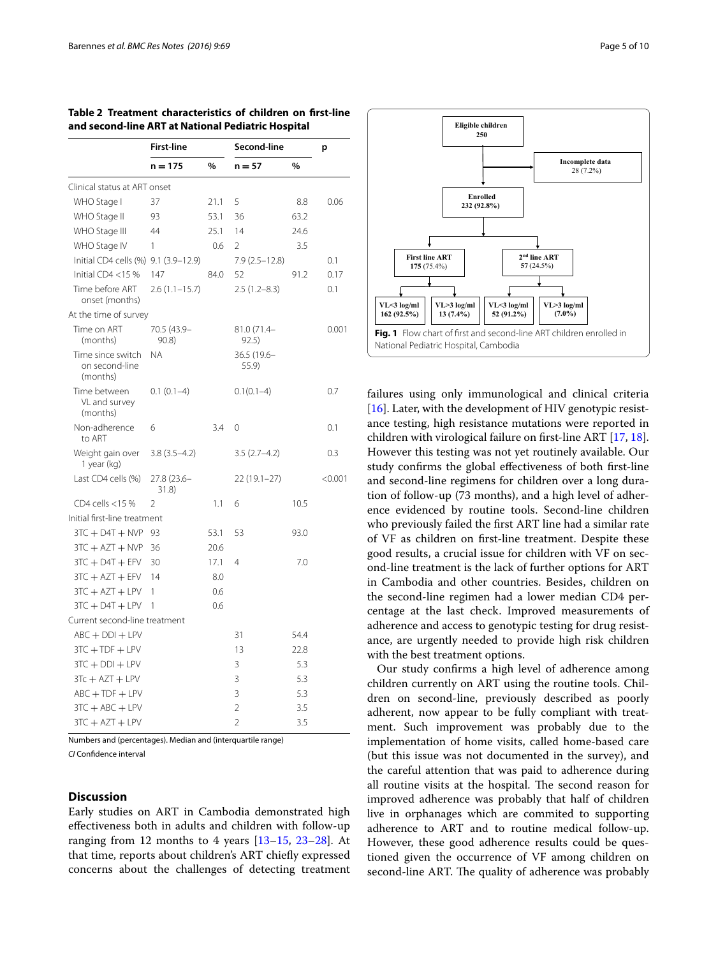|                                                 | <b>First-line</b>    |               | Second-line              |               | p       |
|-------------------------------------------------|----------------------|---------------|--------------------------|---------------|---------|
|                                                 | n = 175              | $\frac{0}{0}$ | n = 57                   | $\frac{0}{0}$ |         |
| Clinical status at ART onset                    |                      |               |                          |               |         |
| WHO Stage I                                     | 37                   | 21.1          | 5                        | 8.8           | 0.06    |
| WHO Stage II                                    | 93                   | 53.1          | 36                       | 63.2          |         |
| WHO Stage III                                   | 44                   | 25.1          | 14                       | 24.6          |         |
| WHO Stage IV                                    | 1                    | 0.6           | 2                        | 3.5           |         |
| Initial CD4 cells (%) 9.1 (3.9-12.9)            |                      |               | $7.9(2.5-12.8)$          |               | 0.1     |
| Initial CD4 <15 $%$                             | 147                  | 84.0          | 52                       | 91.2          | 0.17    |
| Time before ART<br>onset (months)               | $2.6(1.1-15.7)$      |               | $2.5(1.2 - 8.3)$         |               | 0.1     |
| At the time of survey                           |                      |               |                          |               |         |
| Time on ART<br>(months)                         | 70.5 (43.9-<br>90.8) |               | 81.0 (71.4-<br>92.5)     |               | 0.001   |
| Time since switch<br>on second-line<br>(months) | NA.                  |               | 36.5 (19.6-<br>55.9)     |               |         |
| Time between<br>VL and survey<br>(months)       | $0.1(0.1-4)$         |               | $0.1(0.1-4)$             |               | 0.7     |
| Non-adherence<br>to ART                         | 6                    | 3.4           | $\Omega$                 |               | 0.1     |
| Weight gain over<br>1 year (kg)                 | $3.8(3.5-4.2)$       |               | $3.5(2.7-4.2)$           |               | 0.3     |
| Last CD4 cells (%)                              | 27.8 (23.6-<br>31.8) |               | $22(19.1-27)$            |               | < 0.001 |
| CD4 cells <15 %                                 | $\mathfrak{D}$       | 1.1           | 6                        | 10.5          |         |
| Initial first-line treatment                    |                      |               |                          |               |         |
| $3TC + DAT + NVP$                               | 93                   | 53.1          | 53                       | 93.0          |         |
| $3TC + AZT + NVP$                               | 36                   | 20.6          |                          |               |         |
| $3TC + DAT + EFV$                               | 30                   | 17.1          | 4                        | 7.0           |         |
| $3TC + AZT + EFV$                               | 14                   | 8.0           |                          |               |         |
| $3TC + AZT + LPV$                               | 1                    | 0.6           |                          |               |         |
| $3TC + DAT + LPV$                               | 1                    | 0.6           |                          |               |         |
| Current second-line treatment                   |                      |               |                          |               |         |
| $ABC + DDI + LPV$                               |                      |               | 31                       | 54.4          |         |
| $3TC + TDF + LPV$                               |                      |               | 13                       | 22.8          |         |
| $3TC + DDI + LPV$                               |                      |               | 3                        | 5.3           |         |
| $3Tc + AZT + LPV$                               |                      |               | 3                        | 5.3           |         |
| $ABC + TDF + LPV$                               |                      |               | 3                        | 5.3           |         |
| $3TC + ABC + LPV$                               |                      |               | 2                        | 3.5           |         |
| $3TC + AZT + LPV$                               |                      |               | $\overline{\mathcal{L}}$ | 3.5           |         |

<span id="page-4-0"></span>**Table 2 Treatment characteristics of children on first-line and second-line ART at National Pediatric Hospital**

Numbers and (percentages). Median and (interquartile range) *CI* Confidence interval

#### **Discussion**

Early studies on ART in Cambodia demonstrated high effectiveness both in adults and children with follow-up ranging from 12 months to 4 years  $[13-15, 23-28]$  $[13-15, 23-28]$  $[13-15, 23-28]$  $[13-15, 23-28]$  $[13-15, 23-28]$ . At that time, reports about children's ART chiefly expressed concerns about the challenges of detecting treatment





<span id="page-4-1"></span>failures using only immunological and clinical criteria [ $16$ ]. Later, with the development of HIV genotypic resistance testing, high resistance mutations were reported in children with virological failure on first-line ART [\[17,](#page-8-16) [18](#page-8-17)]. However this testing was not yet routinely available. Our study confirms the global effectiveness of both first-line and second-line regimens for children over a long duration of follow-up (73 months), and a high level of adherence evidenced by routine tools. Second-line children who previously failed the first ART line had a similar rate of VF as children on first-line treatment. Despite these good results, a crucial issue for children with VF on second-line treatment is the lack of further options for ART in Cambodia and other countries. Besides, children on the second-line regimen had a lower median CD4 percentage at the last check. Improved measurements of adherence and access to genotypic testing for drug resistance, are urgently needed to provide high risk children with the best treatment options.

Our study confirms a high level of adherence among children currently on ART using the routine tools. Children on second-line, previously described as poorly adherent, now appear to be fully compliant with treatment. Such improvement was probably due to the implementation of home visits, called home-based care (but this issue was not documented in the survey), and the careful attention that was paid to adherence during all routine visits at the hospital. The second reason for improved adherence was probably that half of children live in orphanages which are commited to supporting adherence to ART and to routine medical follow-up. However, these good adherence results could be questioned given the occurrence of VF among children on second-line ART. The quality of adherence was probably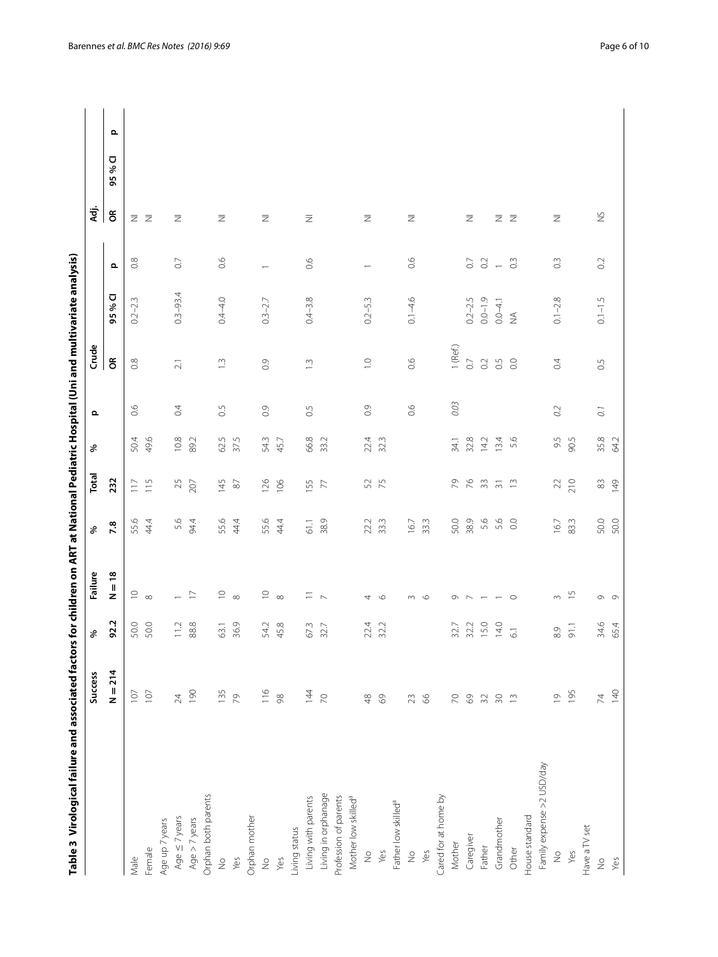<span id="page-5-0"></span>

| $\begin{array}{c} \begin{array}{c} \begin{array}{c} \end{array} \\ \end{array} \end{array}$             |
|---------------------------------------------------------------------------------------------------------|
|                                                                                                         |
|                                                                                                         |
|                                                                                                         |
|                                                                                                         |
|                                                                                                         |
|                                                                                                         |
|                                                                                                         |
| $\ddot{\phantom{0}}$                                                                                    |
|                                                                                                         |
|                                                                                                         |
|                                                                                                         |
|                                                                                                         |
|                                                                                                         |
|                                                                                                         |
|                                                                                                         |
|                                                                                                         |
|                                                                                                         |
|                                                                                                         |
|                                                                                                         |
|                                                                                                         |
|                                                                                                         |
|                                                                                                         |
|                                                                                                         |
|                                                                                                         |
|                                                                                                         |
|                                                                                                         |
|                                                                                                         |
|                                                                                                         |
|                                                                                                         |
|                                                                                                         |
|                                                                                                         |
| $\overline{a}$<br>$\frac{1}{\epsilon}$<br>֧֧֦֧֧֦֧֧ׅ֧֦֧֧֧֦֧֦֧֦֧֚֚֚֚֚֚֚֚֚֚֚֚֚֚֚֚֚֚֚֚֚֚֚֚֚֚֚֚֚֚֚֚֬֝֓֓֓֜֓֓֜ |

| $\mathbf{\Omega}$<br>Ū<br>95%<br>$\epsilon$<br>$\gtrapprox$<br>Σ Z<br>$\overline{\mathcal{Z}}$<br>$\overline{z}$<br>$\overline{\geq}$<br>$\overline{\geq}$<br>$\overline{\geq}$<br>Ξ Z<br>$\overline{\mathbb{Z}}$<br>Ξ<br>Ξ<br>0.6<br>0.8<br>66<br>66<br>$0.\overline{3}$<br>$0.\overline{3}$<br>$0.2\,$<br>$\rm C$<br>$\rm C$<br>$\frac{2}{1}$<br>$\mathbf{\Omega}$<br>$\overline{\phantom{m}}$<br>$0.3 - 93.4$<br>U<br>$0.4 - 4.0$<br>$0.4 - 3.8$<br>$0.1 - 4.6$<br>$0.2 - 2.5$<br>$0.0 - 1.9$<br>$0.1 - 2.8$<br>$0.1 - 1.5$<br>$0.2 - 2.3$<br>$0.3 - 2.7$<br>$0.2 - 5.3$<br>$0.0 - 4.1$<br>95 %<br>$\lessgtr$<br>$1$ (Ref.)<br>$\widetilde{\sigma}$<br>0.5<br>0.6<br>$\rm _{O2}$<br>$\rm ^{0}$<br>0.8<br>$\overline{C}$<br>$\circ$<br>0.4<br>$\ddot{ }$<br>$\overline{0}$ .<br>$\widetilde{0}$ .<br>$\tilde{\Xi}$<br>$\gtrsim$<br>$0.03$<br>$\ddot{\circ}$<br>$0.\overline{5}$<br>$\overline{0}$ .<br>$\frac{6}{10}$<br>66<br>$\overline{0}$ .<br>0.2<br>0.5<br>$\overline{C}$<br>49.6<br>$10.8$<br>89.2<br>62.5<br>37.5<br>66.8<br>33.2<br>5.6<br>35.8<br>50.4<br>54.3<br>45.7<br>22.4<br>32.3<br>32.8<br>13.4<br>9.5<br>90.5<br>64.2<br>34.1<br>14.2<br>232<br>$76$ 33<br>126<br>106<br>155<br>75<br>64<br>210<br>$\frac{21}{11}$<br>25<br>145<br>$\rm 87$<br>$\overline{7}$<br>52<br>$\frac{1}{2}$<br>$22\,$<br>83<br>149<br>50.0<br>33.3<br>38.9<br>5.6<br>50.0<br>55.6<br>44.4<br>54.4<br>55.6<br>44.4<br>55.6<br>44.4<br>38.9<br>22.2<br>33.3<br>16.7<br>5.6<br>$_{\odot}$<br>83.3<br>61.1<br>16.7<br>7.8<br>$\frac{8}{1}$<br>$\supseteq$ $\infty$<br>$\supseteq$<br>$\subseteq$<br>$m \quad 5$<br>$ \geq$<br>$=$ $\sim$<br>z<br>$\infty$<br>$\infty$<br>4<br>$\circ$<br>$\circ$<br>$\circ \neg \neg \neg \neg \neg \neg \neg$<br>$\sim$<br>$\circ$ $\circ$<br>92.2<br>88.8<br>36.9<br>45.8<br>15.0<br>50.0<br>50.0<br>11.2<br>54.2<br>67.3<br>22.4<br>14.0<br>34.6<br>63.1<br>32.2<br>32.7<br>32.2<br>91.1<br>65.4<br>32.7<br>$\overline{6.1}$<br>$_{\odot}^{\odot}$<br>$N = 214$<br>190<br>135<br>$\frac{6}{116}$<br>144<br>140<br>107<br>195<br>$107$<br>$\geq 4$<br>79<br>$\approx$<br>$\infty$<br>$48$<br>$69$<br>$30$<br>$\overline{0}$<br>$\overline{\mathcal{V}}$<br>$66$<br>$\geq$<br>$69$<br>$32\,$<br>$\frac{1}{2}$<br>23<br>Family expense >2 USD/day<br>Living in orphanage<br>Orphan both parents<br>Cared for at home by<br>Mother low skilled <sup>a</sup><br>Living with parents<br>Profession of parents<br>Father low skilled <sup>a</sup><br>House standard<br>Age $\leq$ 7 years<br>Orphan mother<br>Age $> 7$ years<br>Grandmother<br>Age up 7 years<br>Have a TV set<br>Living status<br>Caregiver<br>Mother<br>Father<br>Other<br>Female<br>Yes<br>Yes<br>Yes<br>$\geq$<br>$\frac{1}{2}$<br>$\frac{1}{2}$<br>Male<br>$\frac{1}{2}$<br>Yes<br>Yes<br>$\frac{1}{2}$<br>Yes<br>$\stackrel{\circ}{\geq}$ | <b>Success</b> | $\delta$ | Failure | % | Total | $\delta$ | $\mathbf{\Omega}$ | Crude |  | ਤ੍ਰਾਂ |  |
|---------------------------------------------------------------------------------------------------------------------------------------------------------------------------------------------------------------------------------------------------------------------------------------------------------------------------------------------------------------------------------------------------------------------------------------------------------------------------------------------------------------------------------------------------------------------------------------------------------------------------------------------------------------------------------------------------------------------------------------------------------------------------------------------------------------------------------------------------------------------------------------------------------------------------------------------------------------------------------------------------------------------------------------------------------------------------------------------------------------------------------------------------------------------------------------------------------------------------------------------------------------------------------------------------------------------------------------------------------------------------------------------------------------------------------------------------------------------------------------------------------------------------------------------------------------------------------------------------------------------------------------------------------------------------------------------------------------------------------------------------------------------------------------------------------------------------------------------------------------------------------------------------------------------------------------------------------------------------------------------------------------------------------------------------------------------------------------------------------------------------------------------------------------------------------------------------------------------------------------------------------------------------------------------------------------------------------------------------------------------------------------------------------------------------------------------------------------------------------------------------------------------------------------------------------------------------------------------------------------------------------------------------------------------------------------------------------------------------------------------------------------------------------------------------------------------------------------|----------------|----------|---------|---|-------|----------|-------------------|-------|--|-------|--|
|                                                                                                                                                                                                                                                                                                                                                                                                                                                                                                                                                                                                                                                                                                                                                                                                                                                                                                                                                                                                                                                                                                                                                                                                                                                                                                                                                                                                                                                                                                                                                                                                                                                                                                                                                                                                                                                                                                                                                                                                                                                                                                                                                                                                                                                                                                                                                                                                                                                                                                                                                                                                                                                                                                                                                                                                                                       |                |          |         |   |       |          |                   |       |  |       |  |
|                                                                                                                                                                                                                                                                                                                                                                                                                                                                                                                                                                                                                                                                                                                                                                                                                                                                                                                                                                                                                                                                                                                                                                                                                                                                                                                                                                                                                                                                                                                                                                                                                                                                                                                                                                                                                                                                                                                                                                                                                                                                                                                                                                                                                                                                                                                                                                                                                                                                                                                                                                                                                                                                                                                                                                                                                                       |                |          |         |   |       |          |                   |       |  |       |  |
|                                                                                                                                                                                                                                                                                                                                                                                                                                                                                                                                                                                                                                                                                                                                                                                                                                                                                                                                                                                                                                                                                                                                                                                                                                                                                                                                                                                                                                                                                                                                                                                                                                                                                                                                                                                                                                                                                                                                                                                                                                                                                                                                                                                                                                                                                                                                                                                                                                                                                                                                                                                                                                                                                                                                                                                                                                       |                |          |         |   |       |          |                   |       |  |       |  |
|                                                                                                                                                                                                                                                                                                                                                                                                                                                                                                                                                                                                                                                                                                                                                                                                                                                                                                                                                                                                                                                                                                                                                                                                                                                                                                                                                                                                                                                                                                                                                                                                                                                                                                                                                                                                                                                                                                                                                                                                                                                                                                                                                                                                                                                                                                                                                                                                                                                                                                                                                                                                                                                                                                                                                                                                                                       |                |          |         |   |       |          |                   |       |  |       |  |
|                                                                                                                                                                                                                                                                                                                                                                                                                                                                                                                                                                                                                                                                                                                                                                                                                                                                                                                                                                                                                                                                                                                                                                                                                                                                                                                                                                                                                                                                                                                                                                                                                                                                                                                                                                                                                                                                                                                                                                                                                                                                                                                                                                                                                                                                                                                                                                                                                                                                                                                                                                                                                                                                                                                                                                                                                                       |                |          |         |   |       |          |                   |       |  |       |  |
|                                                                                                                                                                                                                                                                                                                                                                                                                                                                                                                                                                                                                                                                                                                                                                                                                                                                                                                                                                                                                                                                                                                                                                                                                                                                                                                                                                                                                                                                                                                                                                                                                                                                                                                                                                                                                                                                                                                                                                                                                                                                                                                                                                                                                                                                                                                                                                                                                                                                                                                                                                                                                                                                                                                                                                                                                                       |                |          |         |   |       |          |                   |       |  |       |  |
|                                                                                                                                                                                                                                                                                                                                                                                                                                                                                                                                                                                                                                                                                                                                                                                                                                                                                                                                                                                                                                                                                                                                                                                                                                                                                                                                                                                                                                                                                                                                                                                                                                                                                                                                                                                                                                                                                                                                                                                                                                                                                                                                                                                                                                                                                                                                                                                                                                                                                                                                                                                                                                                                                                                                                                                                                                       |                |          |         |   |       |          |                   |       |  |       |  |
|                                                                                                                                                                                                                                                                                                                                                                                                                                                                                                                                                                                                                                                                                                                                                                                                                                                                                                                                                                                                                                                                                                                                                                                                                                                                                                                                                                                                                                                                                                                                                                                                                                                                                                                                                                                                                                                                                                                                                                                                                                                                                                                                                                                                                                                                                                                                                                                                                                                                                                                                                                                                                                                                                                                                                                                                                                       |                |          |         |   |       |          |                   |       |  |       |  |
|                                                                                                                                                                                                                                                                                                                                                                                                                                                                                                                                                                                                                                                                                                                                                                                                                                                                                                                                                                                                                                                                                                                                                                                                                                                                                                                                                                                                                                                                                                                                                                                                                                                                                                                                                                                                                                                                                                                                                                                                                                                                                                                                                                                                                                                                                                                                                                                                                                                                                                                                                                                                                                                                                                                                                                                                                                       |                |          |         |   |       |          |                   |       |  |       |  |
|                                                                                                                                                                                                                                                                                                                                                                                                                                                                                                                                                                                                                                                                                                                                                                                                                                                                                                                                                                                                                                                                                                                                                                                                                                                                                                                                                                                                                                                                                                                                                                                                                                                                                                                                                                                                                                                                                                                                                                                                                                                                                                                                                                                                                                                                                                                                                                                                                                                                                                                                                                                                                                                                                                                                                                                                                                       |                |          |         |   |       |          |                   |       |  |       |  |
|                                                                                                                                                                                                                                                                                                                                                                                                                                                                                                                                                                                                                                                                                                                                                                                                                                                                                                                                                                                                                                                                                                                                                                                                                                                                                                                                                                                                                                                                                                                                                                                                                                                                                                                                                                                                                                                                                                                                                                                                                                                                                                                                                                                                                                                                                                                                                                                                                                                                                                                                                                                                                                                                                                                                                                                                                                       |                |          |         |   |       |          |                   |       |  |       |  |
|                                                                                                                                                                                                                                                                                                                                                                                                                                                                                                                                                                                                                                                                                                                                                                                                                                                                                                                                                                                                                                                                                                                                                                                                                                                                                                                                                                                                                                                                                                                                                                                                                                                                                                                                                                                                                                                                                                                                                                                                                                                                                                                                                                                                                                                                                                                                                                                                                                                                                                                                                                                                                                                                                                                                                                                                                                       |                |          |         |   |       |          |                   |       |  |       |  |
|                                                                                                                                                                                                                                                                                                                                                                                                                                                                                                                                                                                                                                                                                                                                                                                                                                                                                                                                                                                                                                                                                                                                                                                                                                                                                                                                                                                                                                                                                                                                                                                                                                                                                                                                                                                                                                                                                                                                                                                                                                                                                                                                                                                                                                                                                                                                                                                                                                                                                                                                                                                                                                                                                                                                                                                                                                       |                |          |         |   |       |          |                   |       |  |       |  |
|                                                                                                                                                                                                                                                                                                                                                                                                                                                                                                                                                                                                                                                                                                                                                                                                                                                                                                                                                                                                                                                                                                                                                                                                                                                                                                                                                                                                                                                                                                                                                                                                                                                                                                                                                                                                                                                                                                                                                                                                                                                                                                                                                                                                                                                                                                                                                                                                                                                                                                                                                                                                                                                                                                                                                                                                                                       |                |          |         |   |       |          |                   |       |  |       |  |
|                                                                                                                                                                                                                                                                                                                                                                                                                                                                                                                                                                                                                                                                                                                                                                                                                                                                                                                                                                                                                                                                                                                                                                                                                                                                                                                                                                                                                                                                                                                                                                                                                                                                                                                                                                                                                                                                                                                                                                                                                                                                                                                                                                                                                                                                                                                                                                                                                                                                                                                                                                                                                                                                                                                                                                                                                                       |                |          |         |   |       |          |                   |       |  |       |  |
|                                                                                                                                                                                                                                                                                                                                                                                                                                                                                                                                                                                                                                                                                                                                                                                                                                                                                                                                                                                                                                                                                                                                                                                                                                                                                                                                                                                                                                                                                                                                                                                                                                                                                                                                                                                                                                                                                                                                                                                                                                                                                                                                                                                                                                                                                                                                                                                                                                                                                                                                                                                                                                                                                                                                                                                                                                       |                |          |         |   |       |          |                   |       |  |       |  |
|                                                                                                                                                                                                                                                                                                                                                                                                                                                                                                                                                                                                                                                                                                                                                                                                                                                                                                                                                                                                                                                                                                                                                                                                                                                                                                                                                                                                                                                                                                                                                                                                                                                                                                                                                                                                                                                                                                                                                                                                                                                                                                                                                                                                                                                                                                                                                                                                                                                                                                                                                                                                                                                                                                                                                                                                                                       |                |          |         |   |       |          |                   |       |  |       |  |
|                                                                                                                                                                                                                                                                                                                                                                                                                                                                                                                                                                                                                                                                                                                                                                                                                                                                                                                                                                                                                                                                                                                                                                                                                                                                                                                                                                                                                                                                                                                                                                                                                                                                                                                                                                                                                                                                                                                                                                                                                                                                                                                                                                                                                                                                                                                                                                                                                                                                                                                                                                                                                                                                                                                                                                                                                                       |                |          |         |   |       |          |                   |       |  |       |  |
|                                                                                                                                                                                                                                                                                                                                                                                                                                                                                                                                                                                                                                                                                                                                                                                                                                                                                                                                                                                                                                                                                                                                                                                                                                                                                                                                                                                                                                                                                                                                                                                                                                                                                                                                                                                                                                                                                                                                                                                                                                                                                                                                                                                                                                                                                                                                                                                                                                                                                                                                                                                                                                                                                                                                                                                                                                       |                |          |         |   |       |          |                   |       |  |       |  |
|                                                                                                                                                                                                                                                                                                                                                                                                                                                                                                                                                                                                                                                                                                                                                                                                                                                                                                                                                                                                                                                                                                                                                                                                                                                                                                                                                                                                                                                                                                                                                                                                                                                                                                                                                                                                                                                                                                                                                                                                                                                                                                                                                                                                                                                                                                                                                                                                                                                                                                                                                                                                                                                                                                                                                                                                                                       |                |          |         |   |       |          |                   |       |  |       |  |
|                                                                                                                                                                                                                                                                                                                                                                                                                                                                                                                                                                                                                                                                                                                                                                                                                                                                                                                                                                                                                                                                                                                                                                                                                                                                                                                                                                                                                                                                                                                                                                                                                                                                                                                                                                                                                                                                                                                                                                                                                                                                                                                                                                                                                                                                                                                                                                                                                                                                                                                                                                                                                                                                                                                                                                                                                                       |                |          |         |   |       |          |                   |       |  |       |  |
|                                                                                                                                                                                                                                                                                                                                                                                                                                                                                                                                                                                                                                                                                                                                                                                                                                                                                                                                                                                                                                                                                                                                                                                                                                                                                                                                                                                                                                                                                                                                                                                                                                                                                                                                                                                                                                                                                                                                                                                                                                                                                                                                                                                                                                                                                                                                                                                                                                                                                                                                                                                                                                                                                                                                                                                                                                       |                |          |         |   |       |          |                   |       |  |       |  |
|                                                                                                                                                                                                                                                                                                                                                                                                                                                                                                                                                                                                                                                                                                                                                                                                                                                                                                                                                                                                                                                                                                                                                                                                                                                                                                                                                                                                                                                                                                                                                                                                                                                                                                                                                                                                                                                                                                                                                                                                                                                                                                                                                                                                                                                                                                                                                                                                                                                                                                                                                                                                                                                                                                                                                                                                                                       |                |          |         |   |       |          |                   |       |  |       |  |
|                                                                                                                                                                                                                                                                                                                                                                                                                                                                                                                                                                                                                                                                                                                                                                                                                                                                                                                                                                                                                                                                                                                                                                                                                                                                                                                                                                                                                                                                                                                                                                                                                                                                                                                                                                                                                                                                                                                                                                                                                                                                                                                                                                                                                                                                                                                                                                                                                                                                                                                                                                                                                                                                                                                                                                                                                                       |                |          |         |   |       |          |                   |       |  |       |  |
|                                                                                                                                                                                                                                                                                                                                                                                                                                                                                                                                                                                                                                                                                                                                                                                                                                                                                                                                                                                                                                                                                                                                                                                                                                                                                                                                                                                                                                                                                                                                                                                                                                                                                                                                                                                                                                                                                                                                                                                                                                                                                                                                                                                                                                                                                                                                                                                                                                                                                                                                                                                                                                                                                                                                                                                                                                       |                |          |         |   |       |          |                   |       |  |       |  |
|                                                                                                                                                                                                                                                                                                                                                                                                                                                                                                                                                                                                                                                                                                                                                                                                                                                                                                                                                                                                                                                                                                                                                                                                                                                                                                                                                                                                                                                                                                                                                                                                                                                                                                                                                                                                                                                                                                                                                                                                                                                                                                                                                                                                                                                                                                                                                                                                                                                                                                                                                                                                                                                                                                                                                                                                                                       |                |          |         |   |       |          |                   |       |  |       |  |
|                                                                                                                                                                                                                                                                                                                                                                                                                                                                                                                                                                                                                                                                                                                                                                                                                                                                                                                                                                                                                                                                                                                                                                                                                                                                                                                                                                                                                                                                                                                                                                                                                                                                                                                                                                                                                                                                                                                                                                                                                                                                                                                                                                                                                                                                                                                                                                                                                                                                                                                                                                                                                                                                                                                                                                                                                                       |                |          |         |   |       |          |                   |       |  |       |  |
|                                                                                                                                                                                                                                                                                                                                                                                                                                                                                                                                                                                                                                                                                                                                                                                                                                                                                                                                                                                                                                                                                                                                                                                                                                                                                                                                                                                                                                                                                                                                                                                                                                                                                                                                                                                                                                                                                                                                                                                                                                                                                                                                                                                                                                                                                                                                                                                                                                                                                                                                                                                                                                                                                                                                                                                                                                       |                |          |         |   |       |          |                   |       |  |       |  |
|                                                                                                                                                                                                                                                                                                                                                                                                                                                                                                                                                                                                                                                                                                                                                                                                                                                                                                                                                                                                                                                                                                                                                                                                                                                                                                                                                                                                                                                                                                                                                                                                                                                                                                                                                                                                                                                                                                                                                                                                                                                                                                                                                                                                                                                                                                                                                                                                                                                                                                                                                                                                                                                                                                                                                                                                                                       |                |          |         |   |       |          |                   |       |  |       |  |
|                                                                                                                                                                                                                                                                                                                                                                                                                                                                                                                                                                                                                                                                                                                                                                                                                                                                                                                                                                                                                                                                                                                                                                                                                                                                                                                                                                                                                                                                                                                                                                                                                                                                                                                                                                                                                                                                                                                                                                                                                                                                                                                                                                                                                                                                                                                                                                                                                                                                                                                                                                                                                                                                                                                                                                                                                                       |                |          |         |   |       |          |                   |       |  |       |  |
|                                                                                                                                                                                                                                                                                                                                                                                                                                                                                                                                                                                                                                                                                                                                                                                                                                                                                                                                                                                                                                                                                                                                                                                                                                                                                                                                                                                                                                                                                                                                                                                                                                                                                                                                                                                                                                                                                                                                                                                                                                                                                                                                                                                                                                                                                                                                                                                                                                                                                                                                                                                                                                                                                                                                                                                                                                       |                |          |         |   |       |          |                   |       |  |       |  |
|                                                                                                                                                                                                                                                                                                                                                                                                                                                                                                                                                                                                                                                                                                                                                                                                                                                                                                                                                                                                                                                                                                                                                                                                                                                                                                                                                                                                                                                                                                                                                                                                                                                                                                                                                                                                                                                                                                                                                                                                                                                                                                                                                                                                                                                                                                                                                                                                                                                                                                                                                                                                                                                                                                                                                                                                                                       |                |          |         |   |       |          |                   |       |  |       |  |
|                                                                                                                                                                                                                                                                                                                                                                                                                                                                                                                                                                                                                                                                                                                                                                                                                                                                                                                                                                                                                                                                                                                                                                                                                                                                                                                                                                                                                                                                                                                                                                                                                                                                                                                                                                                                                                                                                                                                                                                                                                                                                                                                                                                                                                                                                                                                                                                                                                                                                                                                                                                                                                                                                                                                                                                                                                       |                |          |         |   |       |          |                   |       |  |       |  |
|                                                                                                                                                                                                                                                                                                                                                                                                                                                                                                                                                                                                                                                                                                                                                                                                                                                                                                                                                                                                                                                                                                                                                                                                                                                                                                                                                                                                                                                                                                                                                                                                                                                                                                                                                                                                                                                                                                                                                                                                                                                                                                                                                                                                                                                                                                                                                                                                                                                                                                                                                                                                                                                                                                                                                                                                                                       |                |          |         |   |       |          |                   |       |  |       |  |
|                                                                                                                                                                                                                                                                                                                                                                                                                                                                                                                                                                                                                                                                                                                                                                                                                                                                                                                                                                                                                                                                                                                                                                                                                                                                                                                                                                                                                                                                                                                                                                                                                                                                                                                                                                                                                                                                                                                                                                                                                                                                                                                                                                                                                                                                                                                                                                                                                                                                                                                                                                                                                                                                                                                                                                                                                                       |                |          |         |   |       |          |                   |       |  |       |  |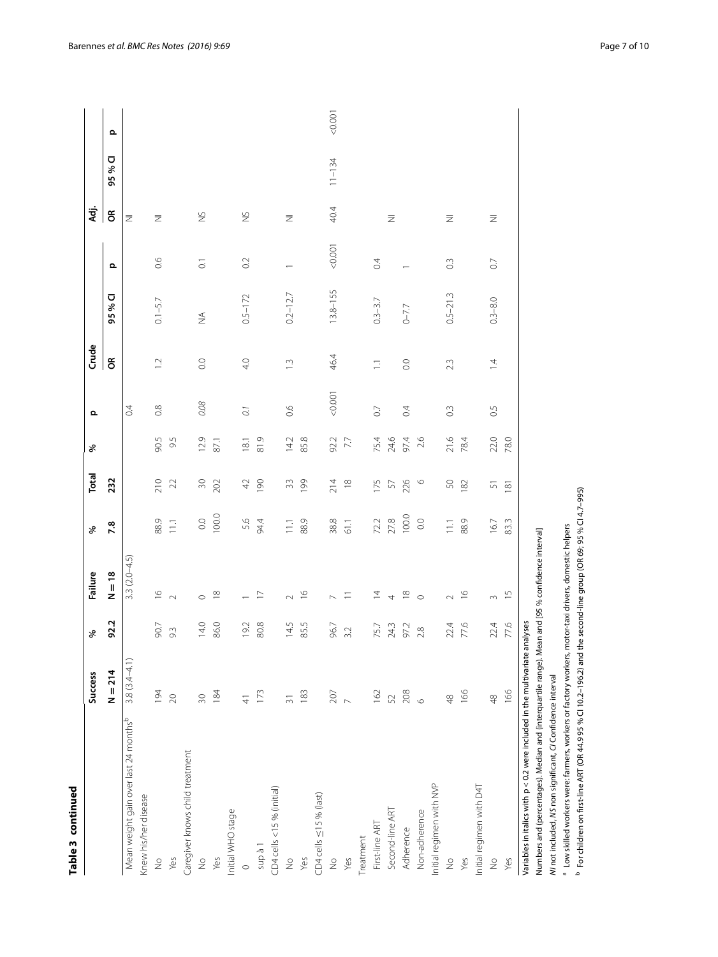| t |
|---|
| c |
|   |
|   |
|   |
|   |

| Table 3 continued                                                                                |                  |                  |                                                |                    |                 |                 |                  |                |              |                       |                |            |                   |
|--------------------------------------------------------------------------------------------------|------------------|------------------|------------------------------------------------|--------------------|-----------------|-----------------|------------------|----------------|--------------|-----------------------|----------------|------------|-------------------|
|                                                                                                  | <b>Success</b>   | ৡ                | Failure                                        | ৡ                  | Total           | %               | $\Omega$         | Crude          |              |                       | Æ.             |            |                   |
|                                                                                                  | $N = 214$        | 92.2             | $N = 18$                                       | 7.8                | 232             |                 |                  | $\epsilon$     | 95 % CI      | $\mathbf{\Omega}$     | $\epsilon$     | 95 % CI    | $\mathbf{\Omega}$ |
| Mean weight gain over last 24 months <sup>b</sup>                                                | $3.8(3.4 - 4.1)$ |                  | $3.3(2.0-4.5)$                                 |                    |                 |                 | $\overline{0}$   |                |              |                       | z              |            |                   |
| Knew his/her disease                                                                             |                  |                  |                                                |                    |                 |                 |                  |                |              |                       |                |            |                   |
| $\frac{1}{2}$                                                                                    | 194              | 90.7             | $\mathop{\odot}\limits$                        | 88.9               | 210             | 90.5            | $\frac{8}{2}$    | $\overline{C}$ | $0.1 - 5.7$  | $\frac{6}{10}$        | Ξ              |            |                   |
| Yes                                                                                              | 20               | $9.\overline{3}$ | $\sim$                                         | 111                | $22\,$          | 9.5             |                  |                |              |                       |                |            |                   |
| Caregiver knows child treatment                                                                  |                  |                  |                                                |                    |                 |                 |                  |                |              |                       |                |            |                   |
| $\stackrel{\circ}{\geq}$                                                                         | 30               | 14.0             | $\circ$                                        | $_{\odot}^{\rm O}$ | $\approx$       | 12.9            | 0.08             | $\rm_{\rm CO}$ | $\lessgtr$   | $\overline{\text{o}}$ | $\gtrapprox$   |            |                   |
| Yes                                                                                              | 184              | 86.0             | $\frac{\infty}{\infty}$                        | 100.0              | 202             | 87.1            |                  |                |              |                       |                |            |                   |
| Initial WHO stage                                                                                |                  |                  |                                                |                    |                 |                 |                  |                |              |                       |                |            |                   |
| $\circ$                                                                                          | $\frac{4}{3}$    | 19.2             |                                                | 5.6                | 42              | 18.1            | $\overline{0}$ . | 4.0            | $0.5 - 172$  | O.2                   | $\gtrapprox$   |            |                   |
| I ę dns                                                                                          | 173              | 80.8             | $\overline{\phantom{0}}$                       | 94.4               | 190             | 81.9            |                  |                |              |                       |                |            |                   |
| CD4 cells <15 % (initial)                                                                        |                  |                  |                                                |                    |                 |                 |                  |                |              |                       |                |            |                   |
| $\frac{1}{2}$                                                                                    | $\overline{31}$  | 14.5             | $\sim$                                         | 11.1               | $33$            | 14.2            | 0.6              | $\bar{a}$      | $0.2 - 12.7$ |                       | $\overline{z}$ |            |                   |
| Yes                                                                                              | 183              | 85.5             | $\frac{6}{1}$                                  | 88.9               | 199             | 85.8            |                  |                |              |                       |                |            |                   |
| CD4 cells $\leq$ 15 % (last)                                                                     |                  |                  |                                                |                    |                 |                 |                  |                |              |                       |                |            |                   |
| $\frac{1}{2}$                                                                                    | $207$            | 96.7             |                                                | 38.8               | 214             | 92.2            | 0.001            | 46.4           | 13.8-155     | 10000                 | 40.4           | $11 - 134$ | &0.00             |
| Yes                                                                                              | $\overline{a}$   | 3.2              | $\equiv$                                       | 61.1               | $\frac{8}{18}$  | $\overline{77}$ |                  |                |              |                       |                |            |                   |
| Treatment                                                                                        |                  |                  |                                                |                    |                 |                 |                  |                |              |                       |                |            |                   |
| First-line ART                                                                                   | 162              | 75.7             | $\overline{4}$                                 | 72.2               | 175             | 75.4            | $\overline{C}$   | $\Box$         | $0.3 - 3.7$  | $\ddot{\circ}$        |                |            |                   |
| Second-line ART                                                                                  | 52               | 24.3             | $\overline{a}$                                 | 27.8               | 57              | 24.6            |                  |                |              |                       | $\bar{z}$      |            |                   |
| Adherence                                                                                        | 208              | 97.2             | $\frac{\infty}{\infty}$                        | 100.0              | 226             | 97.4            | 0.4              | $\rm C$        | $0 - 7.7$    |                       |                |            |                   |
| Non-adherence                                                                                    | $\circ$          | 2.8              | $\circ$                                        | 0.0                | $\circ$         | 2.6             |                  |                |              |                       |                |            |                   |
| Initial regimen with NVP                                                                         |                  |                  |                                                |                    |                 |                 |                  |                |              |                       |                |            |                   |
| $\frac{1}{2}$                                                                                    | $\frac{8}{3}$    | 22.4             | $\sim$                                         | $\overline{11}$    | $50\,$          | 21.6            | $\degree$        | 2.3            | $0.5 - 21.3$ | $\degree$             | $\bar{z}$      |            |                   |
| Yes                                                                                              | 166              | 77.6             | $\frac{0}{1}$                                  | 88.9               | 182             | 78.4            |                  |                |              |                       |                |            |                   |
| Initial regimen with D4T                                                                         |                  |                  |                                                |                    |                 |                 |                  |                |              |                       |                |            |                   |
| $\frac{1}{2}$                                                                                    | $\frac{8}{3}$    | 22.4             | $\sim$                                         | 16.7               | 5               | 22.0            | 0.5              | $\overline{4}$ | $0.3 - 8.0$  | $\overline{0}$        | $\overline{z}$ |            |                   |
| Yes                                                                                              | 166              | 77.6             | $\frac{1}{2}$                                  | 83.3               | $\overline{18}$ | 78.0            |                  |                |              |                       |                |            |                   |
| Variables in italics with p < 0.2 were included in the multivariate analyses                     |                  |                  |                                                |                    |                 |                 |                  |                |              |                       |                |            |                   |
| Numbers and (percentages). Median and (interquartile range). Mean and [95 % confidence interval] |                  |                  |                                                |                    |                 |                 |                  |                |              |                       |                |            |                   |
| M not included, NS non significant, C/ Confidence interval                                       |                  |                  |                                                |                    |                 |                 |                  |                |              |                       |                |            |                   |
| <sup>a</sup> Low skilled workers were: farmers, workers or factory workers,                      |                  |                  | motor-taxi drivers, domestic helpers           |                    |                 |                 |                  |                |              |                       |                |            |                   |
| $^{\rm b}$ For children on first-line ART (OR 44.9 95 % CI 10.2–196.2) and                       |                  |                  | the second-line group (OR 69; 95 % CI 4.7-995) |                    |                 |                 |                  |                |              |                       |                |            |                   |

Barennes *et al. BMC Res Notes (2016) 9:69* Page 7 of 10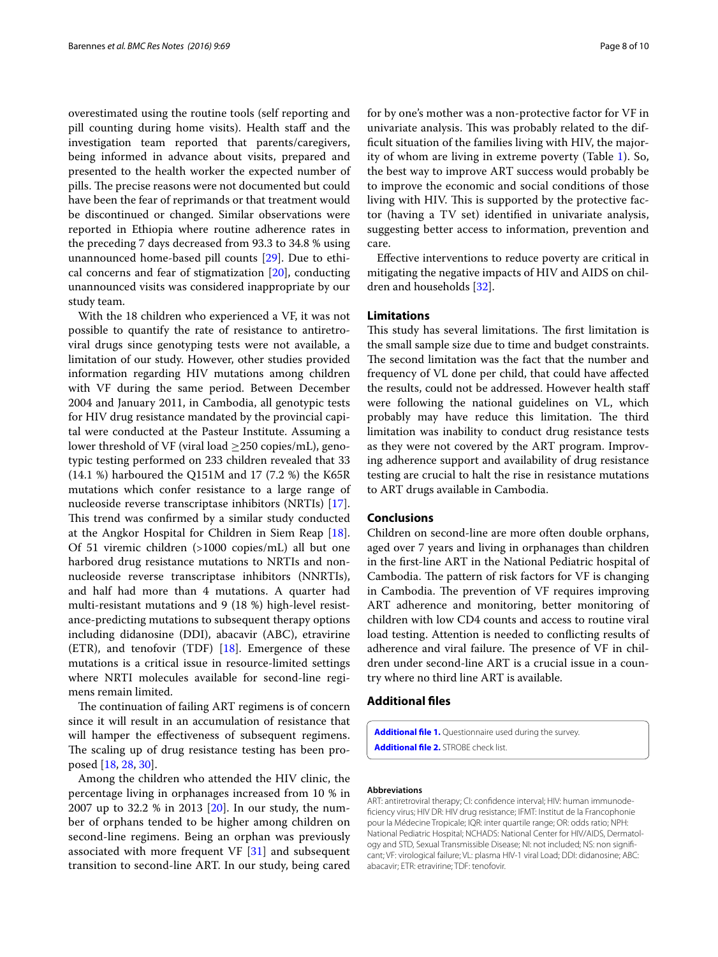overestimated using the routine tools (self reporting and pill counting during home visits). Health staff and the investigation team reported that parents/caregivers, being informed in advance about visits, prepared and presented to the health worker the expected number of pills. The precise reasons were not documented but could have been the fear of reprimands or that treatment would be discontinued or changed. Similar observations were reported in Ethiopia where routine adherence rates in the preceding 7 days decreased from 93.3 to 34.8 % using unannounced home-based pill counts [\[29](#page-9-0)]. Due to ethical concerns and fear of stigmatization [[20\]](#page-8-19), conducting unannounced visits was considered inappropriate by our study team.

With the 18 children who experienced a VF, it was not possible to quantify the rate of resistance to antiretroviral drugs since genotyping tests were not available, a limitation of our study. However, other studies provided information regarding HIV mutations among children with VF during the same period. Between December 2004 and January 2011, in Cambodia, all genotypic tests for HIV drug resistance mandated by the provincial capital were conducted at the Pasteur Institute. Assuming a lower threshold of VF (viral load  $\geq$  250 copies/mL), genotypic testing performed on 233 children revealed that 33 (14.1 %) harboured the Q151M and 17 (7.2 %) the K65R mutations which confer resistance to a large range of nucleoside reverse transcriptase inhibitors (NRTIs) [\[17](#page-8-16)]. This trend was confirmed by a similar study conducted at the Angkor Hospital for Children in Siem Reap [\[18](#page-8-17)]. Of 51 viremic children (>1000 copies/mL) all but one harbored drug resistance mutations to NRTIs and nonnucleoside reverse transcriptase inhibitors (NNRTIs), and half had more than 4 mutations. A quarter had multi-resistant mutations and 9 (18 %) high-level resistance-predicting mutations to subsequent therapy options including didanosine (DDI), abacavir (ABC), etravirine (ETR), and tenofovir (TDF) [\[18](#page-8-17)]. Emergence of these mutations is a critical issue in resource-limited settings where NRTI molecules available for second-line regimens remain limited.

The continuation of failing ART regimens is of concern since it will result in an accumulation of resistance that will hamper the effectiveness of subsequent regimens. The scaling up of drug resistance testing has been proposed [[18](#page-8-17), [28,](#page-8-23) [30](#page-9-1)].

Among the children who attended the HIV clinic, the percentage living in orphanages increased from 10 % in 2007 up to 32.2 % in 2013 [[20\]](#page-8-19). In our study, the number of orphans tended to be higher among children on second-line regimens. Being an orphan was previously associated with more frequent VF [[31\]](#page-9-2) and subsequent transition to second-line ART. In our study, being cared for by one's mother was a non-protective factor for VF in univariate analysis. This was probably related to the difficult situation of the families living with HIV, the majority of whom are living in extreme poverty (Table [1](#page-3-0)). So, the best way to improve ART success would probably be to improve the economic and social conditions of those living with HIV. This is supported by the protective factor (having a TV set) identified in univariate analysis, suggesting better access to information, prevention and care.

Effective interventions to reduce poverty are critical in mitigating the negative impacts of HIV and AIDS on children and households [\[32](#page-9-3)].

#### **Limitations**

This study has several limitations. The first limitation is the small sample size due to time and budget constraints. The second limitation was the fact that the number and frequency of VL done per child, that could have affected the results, could not be addressed. However health staff were following the national guidelines on VL, which probably may have reduce this limitation. The third limitation was inability to conduct drug resistance tests as they were not covered by the ART program. Improving adherence support and availability of drug resistance testing are crucial to halt the rise in resistance mutations to ART drugs available in Cambodia.

#### **Conclusions**

Children on second-line are more often double orphans, aged over 7 years and living in orphanages than children in the first-line ART in the National Pediatric hospital of Cambodia. The pattern of risk factors for VF is changing in Cambodia. The prevention of VF requires improving ART adherence and monitoring, better monitoring of children with low CD4 counts and access to routine viral load testing. Attention is needed to conflicting results of adherence and viral failure. The presence of VF in children under second-line ART is a crucial issue in a country where no third line ART is available.

#### **Additional files**

<span id="page-7-1"></span><span id="page-7-0"></span>**[Additional file 1.](http://dx.doi.org/10.1186/s13104-016-1884-y)** Questionnaire used during the survey. **[Additional file 2.](http://dx.doi.org/10.1186/s13104-016-1884-y)** STROBE check list.

#### **Abbreviations**

ART: antiretroviral therapy; CI: confidence interval; HIV: human immunodeficiency virus; HIV DR: HIV drug resistance; IFMT: Institut de la Francophonie pour la Médecine Tropicale; IQR: inter quartile range; OR: odds ratio; NPH: National Pediatric Hospital; NCHADS: National Center for HIV/AIDS, Dermatology and STD, Sexual Transmissible Disease; NI: not included; NS: non significant; VF: virological failure; VL: plasma HIV-1 viral Load; DDI: didanosine; ABC: abacavir; ETR: etravirine; TDF: tenofovir.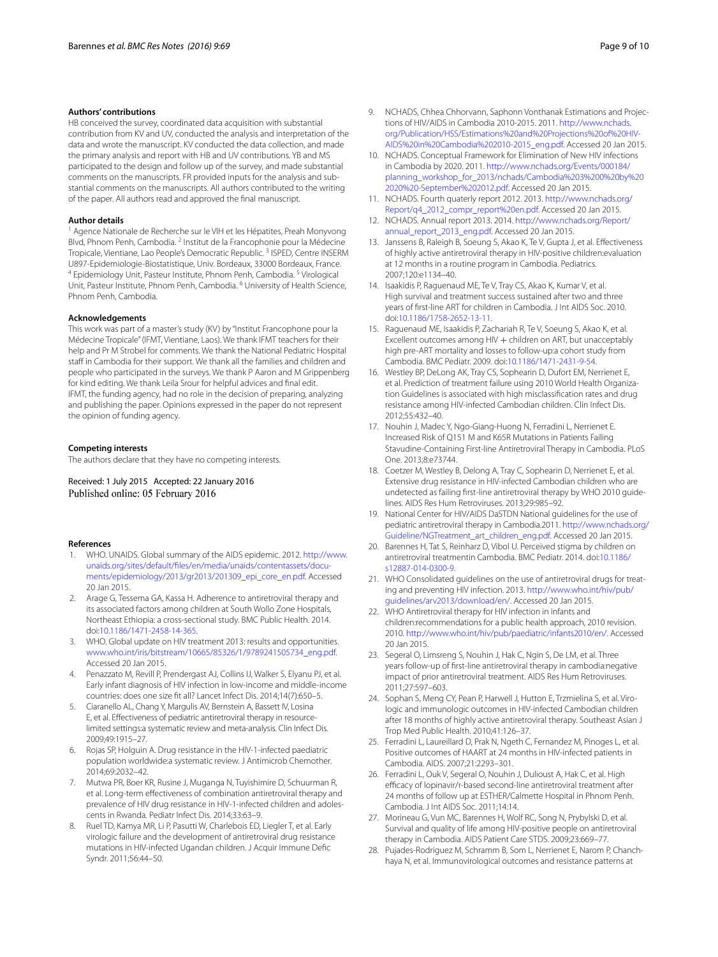#### **Authors' contributions**

HB conceived the survey, coordinated data acquisition with substantial contribution from KV and UV, conducted the analysis and interpretation of the data and wrote the manuscript. KV conducted the data collection, and made the primary analysis and report with HB and UV contributions. YB and MS participated to the design and follow up of the survey, and made substantial comments on the manuscripts. FR provided inputs for the analysis and substantial comments on the manuscripts. All authors contributed to the writing of the paper. All authors read and approved the final manuscript.

#### **Author details**

<sup>1</sup> Agence Nationale de Recherche sur le VIH et les Hépatites, Preah Monyvong Blvd, Phnom Penh, Cambodia. <sup>2</sup> Institut de la Francophonie pour la Médecine Tropicale, Vientiane, Lao People's Democratic Republic.<sup>3</sup> ISPED, Centre INSERM<br>U897-Epidemiologie-Biostatistique, Univ. Bordeaux, 33000 Bordeaux, France. <sup>4</sup> Epidemiology Unit, Pasteur Institute, Phnom Penh, Cambodia. <sup>5</sup> Virological Unit, Pasteur Institute, Phnom Penh, Cambodia. <sup>6</sup> University of Health Science, Phnom Penh, Cambodia.

#### **Acknowledgements**

This work was part of a master's study (KV) by "Institut Francophone pour la Médecine Tropicale" (IFMT, Vientiane, Laos). We thank IFMT teachers for their help and Pr M Strobel for comments. We thank the National Pediatric Hospital staff in Cambodia for their support. We thank all the families and children and people who participated in the surveys. We thank P Aaron and M Grippenberg for kind editing. We thank Leila Srour for helpful advices and final edit. IFMT, the funding agency, had no role in the decision of preparing, analyzing and publishing the paper. Opinions expressed in the paper do not represent the opinion of funding agency.

#### **Competing interests**

The authors declare that they have no competing interests.

Received: 1 July 2015 Accepted: 22 January 2016 Published online: 05 February 2016

#### **References**

- <span id="page-8-0"></span>WHO. UNAIDS. Global summary of the AIDS epidemic. 2012. [http://www.](http://www.unaids.org/sites/default/files/en/media/unaids/contentassets/documents/epidemiology/2013/gr2013/201309_epi_core_en.pdf) [unaids.org/sites/default/files/en/media/unaids/contentassets/docu](http://www.unaids.org/sites/default/files/en/media/unaids/contentassets/documents/epidemiology/2013/gr2013/201309_epi_core_en.pdf)[ments/epidemiology/2013/gr2013/201309\\_epi\\_core\\_en.pdf.](http://www.unaids.org/sites/default/files/en/media/unaids/contentassets/documents/epidemiology/2013/gr2013/201309_epi_core_en.pdf) Accessed 20 Jan 2015.
- <span id="page-8-1"></span>2. Arage G, Tessema GA, Kassa H. Adherence to antiretroviral therapy and its associated factors among children at South Wollo Zone Hospitals, Northeast Ethiopia: a cross-sectional study. BMC Public Health. 2014. doi:[10.1186/1471-2458-14-365.](http://dx.doi.org/10.1186/1471-2458-14-365)
- <span id="page-8-2"></span>3. WHO. Global update on HIV treatment 2013: results and opportunities. [www.who.int/iris/bitstream/10665/85326/1/9789241505734\\_eng.pdf.](http://www.who.int/iris/bitstream/10665/85326/1/9789241505734_eng.pdf) Accessed 20 Jan 2015.
- <span id="page-8-3"></span>4. Penazzato M, Revill P, Prendergast AJ, Collins IJ, Walker S, Elyanu PJ, et al. Early infant diagnosis of HIV infection in low-income and middle-income countries: does one size fit all? Lancet Infect Dis. 2014;14(7):650–5.
- <span id="page-8-4"></span>5. Ciaranello AL, Chang Y, Margulis AV, Bernstein A, Bassett IV, Losina E, et al. Effectiveness of pediatric antiretroviral therapy in resourcelimited settings:a systematic review and meta-analysis. Clin Infect Dis. 2009;49:1915–27.
- <span id="page-8-5"></span>6. Rojas SP, Holguin A. Drug resistance in the HIV-1-infected paediatric population worldwide:a systematic review. J Antimicrob Chemother. 2014;69:2032–42.
- <span id="page-8-6"></span>7. Mutwa PR, Boer KR, Rusine J, Muganga N, Tuyishimire D, Schuurman R, et al. Long-term effectiveness of combination antiretroviral therapy and prevalence of HIV drug resistance in HIV-1-infected children and adolescents in Rwanda. Pediatr Infect Dis. 2014;33:63–9.
- <span id="page-8-7"></span>8. Ruel TD, Kamya MR, Li P, Pasutti W, Charlebois ED, Liegler T, et al. Early virologic failure and the development of antiretroviral drug resistance mutations in HIV-infected Ugandan children. J Acquir Immune Defic Syndr. 2011;56:44–50.
- <span id="page-8-8"></span>9. NCHADS, Chhea Chhorvann, Saphonn Vonthanak Estimations and Projections of HIV/AIDS in Cambodia 2010-2015. 2011. [http://www.nchads.](http://www.nchads.org/Publication/HSS/Estimations%2520and%2520Projections%2520of%2520HIV-AIDS%2520in%2520Cambodia%25202010-2015_eng.pdf) [org/Publication/HSS/Estimations%20and%20Projections%20of%20HIV-](http://www.nchads.org/Publication/HSS/Estimations%2520and%2520Projections%2520of%2520HIV-AIDS%2520in%2520Cambodia%25202010-2015_eng.pdf)[AIDS%20in%20Cambodia%202010-2015\\_eng.pdf](http://www.nchads.org/Publication/HSS/Estimations%2520and%2520Projections%2520of%2520HIV-AIDS%2520in%2520Cambodia%25202010-2015_eng.pdf). Accessed 20 Jan 2015.
- <span id="page-8-9"></span>10. NCHADS. Conceptual Framework for Elimination of New HIV infections in Cambodia by 2020. 2011. [http://www.nchads.org/Events/000184/](http://www.nchads.org/Events/000184/planning_workshop_for_2013/nchads/Cambodia%25203%25200%2520by%25202020%2520-September%25202012.pdf) [planning\\_workshop\\_for\\_2013/nchads/Cambodia%203%200%20by%20](http://www.nchads.org/Events/000184/planning_workshop_for_2013/nchads/Cambodia%25203%25200%2520by%25202020%2520-September%25202012.pdf) [2020%20-September%202012.pdf.](http://www.nchads.org/Events/000184/planning_workshop_for_2013/nchads/Cambodia%25203%25200%2520by%25202020%2520-September%25202012.pdf) Accessed 20 Jan 2015.
- <span id="page-8-10"></span>11. NCHADS. Fourth quaterly report 2012. 2013. [http://www.nchads.org/](http://www.nchads.org/Report/q4_2012_compr_report%2520en.pdf) [Report/q4\\_2012\\_compr\\_report%20en.pdf.](http://www.nchads.org/Report/q4_2012_compr_report%2520en.pdf) Accessed 20 Jan 2015.
- <span id="page-8-11"></span>12. NCHADS. Annual report 2013. 2014. [http://www.nchads.org/Report/](http://www.nchads.org/Report/annual_report_2013_eng.pdf) [annual\\_report\\_2013\\_eng.pdf.](http://www.nchads.org/Report/annual_report_2013_eng.pdf) Accessed 20 Jan 2015.
- <span id="page-8-12"></span>13. Janssens B, Raleigh B, Soeung S, Akao K, Te V, Gupta J, et al. Effectiveness of highly active antiretroviral therapy in HIV-positive children:evaluation at 12 months in a routine program in Cambodia. Pediatrics. 2007;120:e1134–40.
- <span id="page-8-14"></span>14. Isaakidis P, Raguenaud ME, Te V, Tray CS, Akao K, Kumar V, et al. High survival and treatment success sustained after two and three years of first-line ART for children in Cambodia. J Int AIDS Soc. 2010. doi:[10.1186/1758-2652-13-11](http://dx.doi.org/10.1186/1758-2652-13-11).
- <span id="page-8-13"></span>15. Raguenaud ME, Isaakidis P, Zachariah R, Te V, Soeung S, Akao K, et al. Excellent outcomes among HIV + children on ART, but unacceptably high pre-ART mortality and losses to follow-up:a cohort study from Cambodia. BMC Pediatr. 2009. doi[:10.1186/1471-2431-9-54.](http://dx.doi.org/10.1186/1471-2431-9-54)
- <span id="page-8-15"></span>16. Westley BP, DeLong AK, Tray CS, Sophearin D, Dufort EM, Nerrienet E, et al. Prediction of treatment failure using 2010 World Health Organization Guidelines is associated with high misclassification rates and drug resistance among HIV-infected Cambodian children. Clin Infect Dis. 2012;55:432–40.
- <span id="page-8-16"></span>17. Nouhin J, Madec Y, Ngo-Giang-Huong N, Ferradini L, Nerrienet E. Increased Risk of Q151 M and K65R Mutations in Patients Failing Stavudine-Containing First-line Antiretroviral Therapy in Cambodia. PLoS One. 2013;8:e73744.
- <span id="page-8-17"></span>18. Coetzer M, Westley B, Delong A, Tray C, Sophearin D, Nerrienet E, et al. Extensive drug resistance in HIV-infected Cambodian children who are undetected as failing first-line antiretroviral therapy by WHO 2010 guidelines. AIDS Res Hum Retroviruses. 2013;29:985–92.
- <span id="page-8-18"></span>19. National Center for HIV/AIDS DaSTDN National guidelines for the use of pediatric antiretroviral therapy in Cambodia.2011. [http://www.nchads.org/](http://www.nchads.org/Guideline/NGTreatment_art_children_eng.pdf) [Guideline/NGTreatment\\_art\\_children\\_eng.pdf](http://www.nchads.org/Guideline/NGTreatment_art_children_eng.pdf). Accessed 20 Jan 2015.
- <span id="page-8-19"></span>20. Barennes H, Tat S, Reinharz D, Vibol U. Perceived stigma by children on antiretroviral treatmentin Cambodia. BMC Pediatr. 2014. doi:[10.1186/](http://dx.doi.org/10.1186/s12887-014-0300-9) [s12887-014-0300-9.](http://dx.doi.org/10.1186/s12887-014-0300-9)
- <span id="page-8-20"></span>21. WHO Consolidated guidelines on the use of antiretroviral drugs for treating and preventing HIV infection. 2013. [http://www.who.int/hiv/pub/](http://www.who.int/hiv/pub/guidelines/arv2013/download/en/) [guidelines/arv2013/download/en/](http://www.who.int/hiv/pub/guidelines/arv2013/download/en/). Accessed 20 Jan 2015.
- <span id="page-8-21"></span>22. WHO Antiretroviral therapy for HIV infection in infants and children:recommendations for a public health approach, 2010 revision. 2010. [http://www.who.int/hiv/pub/paediatric/infants2010/en/.](http://www.who.int/hiv/pub/paediatric/infants2010/en/) Accessed 20 Jan 2015.
- <span id="page-8-22"></span>23. Segeral O, Limsreng S, Nouhin J, Hak C, Ngin S, De LM, et al. Three years follow-up of first-line antiretroviral therapy in cambodia:negative impact of prior antiretroviral treatment. AIDS Res Hum Retroviruses. 2011;27:597–603.
- 24. Sophan S, Meng CY, Pean P, Harwell J, Hutton E, Trzmielina S, et al. Virologic and immunologic outcomes in HIV-infected Cambodian children after 18 months of highly active antiretroviral therapy. Southeast Asian J Trop Med Public Health. 2010;41:126–37.
- 25. Ferradini L, Laureillard D, Prak N, Ngeth C, Fernandez M, Pinoges L, et al. Positive outcomes of HAART at 24 months in HIV-infected patients in Cambodia. AIDS. 2007;21:2293–301.
- 26. Ferradini L, Ouk V, Segeral O, Nouhin J, Dulioust A, Hak C, et al. High efficacy of lopinavir/r-based second-line antiretroviral treatment after 24 months of follow up at ESTHER/Calmette Hospital in Phnom Penh. Cambodia. J Int AIDS Soc. 2011;14:14.
- 27. Morineau G, Vun MC, Barennes H, Wolf RC, Song N, Prybylski D, et al. Survival and quality of life among HIV-positive people on antiretroviral therapy in Cambodia. AIDS Patient Care STDS. 2009;23:669–77.
- <span id="page-8-23"></span>28. Pujades-Rodriguez M, Schramm B, Som L, Nerrienet E, Narom P, Chanchhaya N, et al. Immunovirological outcomes and resistance patterns at